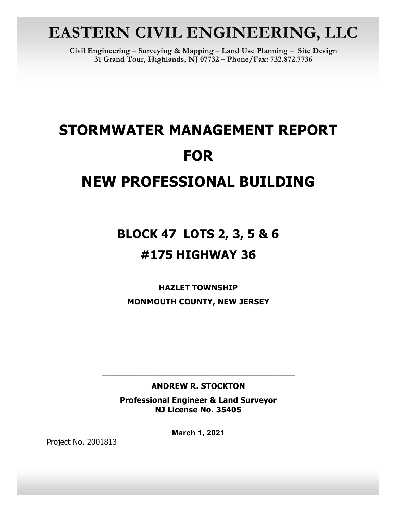# **EASTERN CIVIL ENGINEERING, LLC**

**Civil Engineering – Surveying & Mapping – Land Use Planning – Site Design 31 Grand Tour, Highlands, NJ 07732 – Phone/Fax: 732.872.7736**

# **STORMWATER MANAGEMENT REPORT FOR NEW PROFESSIONAL BUILDING**

# **BLOCK 47 LOTS 2, 3, 5 & 6 #175 HIGHWAY 36**

**HAZLET TOWNSHIP MONMOUTH COUNTY, NEW JERSEY** 

# **ANDREW R. STOCKTON**

**\_\_\_\_\_\_\_\_\_\_\_\_\_\_\_\_\_\_\_\_\_\_\_\_\_\_\_\_\_\_\_\_\_\_\_\_\_\_** 

**Professional Engineer & Land Surveyor NJ License No. 35405**

**March 1, 2021**

Project No. 2001813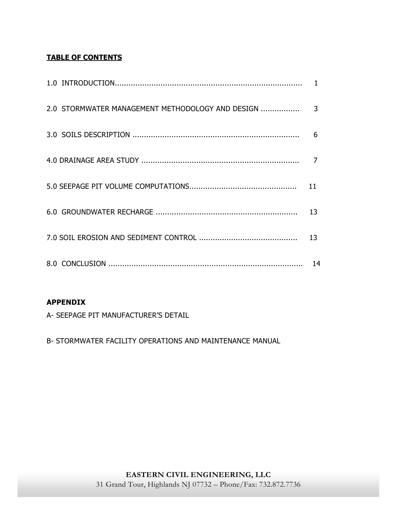# **TABLE OF CONTENTS**

| 2.0 STORMWATER MANAGEMENT METHODOLOGY AND DESIGN | 3  |
|--------------------------------------------------|----|
|                                                  | 6  |
|                                                  |    |
|                                                  | 11 |
|                                                  | 13 |
|                                                  | 13 |
|                                                  | 14 |

# **APPENDIX**

A- SEEPAGE PIT MANUFACTURER'S DETAIL

B- STORMWATER FACILITY OPERATIONS AND MAINTENANCE MANUAL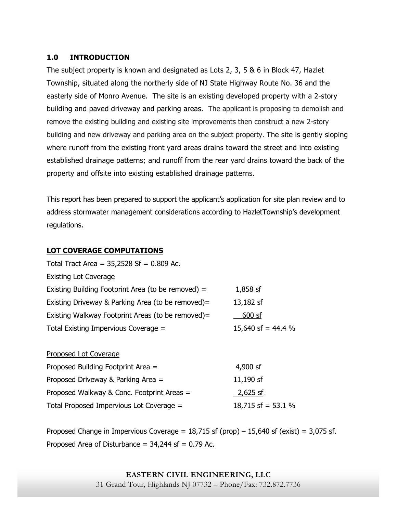# **1.0 INTRODUCTION**

The subject property is known and designated as Lots 2, 3, 5 & 6 in Block 47, Hazlet Township, situated along the northerly side of NJ State Highway Route No. 36 and the easterly side of Monro Avenue. The site is an existing developed property with a 2-story building and paved driveway and parking areas. The applicant is proposing to demolish and remove the existing building and existing site improvements then construct a new 2-story building and new driveway and parking area on the subject property. The site is gently sloping where runoff from the existing front yard areas drains toward the street and into existing established drainage patterns; and runoff from the rear yard drains toward the back of the property and offsite into existing established drainage patterns.

This report has been prepared to support the applicant's application for site plan review and to address stormwater management considerations according to HazletTownship's development regulations.

# **LOT COVERAGE COMPUTATIONS**

| Total Tract Area = $35,2528$ Sf = 0.809 Ac.        |                    |  |  |  |
|----------------------------------------------------|--------------------|--|--|--|
| <b>Existing Lot Coverage</b>                       |                    |  |  |  |
| Existing Building Footprint Area (to be removed) = | $1,858$ sf         |  |  |  |
| Existing Driveway & Parking Area (to be removed)=  | 13,182 sf          |  |  |  |
| Existing Walkway Footprint Areas (to be removed)=  | 600 sf             |  |  |  |
| Total Existing Impervious Coverage =               | 15,640 sf = 44.4 % |  |  |  |
|                                                    |                    |  |  |  |
| <b>Proposed Lot Coverage</b>                       |                    |  |  |  |
| Proposed Building Footprint Area =                 | 4,900 sf           |  |  |  |
| Proposed Driveway & Parking Area =                 | 11,190 sf          |  |  |  |
| Proposed Walkway & Conc. Footprint Areas =         | $2,625$ sf         |  |  |  |
| Total Proposed Impervious Lot Coverage =           | 18,715 sf = 53.1 % |  |  |  |

Proposed Change in Impervious Coverage =  $18,715$  sf (prop)  $-15,640$  sf (exist) = 3,075 sf. Proposed Area of Disturbance =  $34,244$  sf = 0.79 Ac.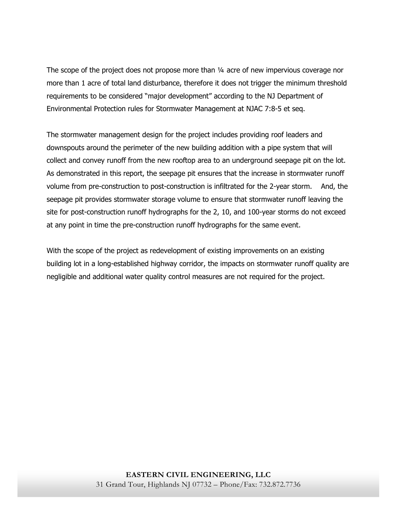The scope of the project does not propose more than  $\frac{1}{4}$  acre of new impervious coverage nor more than 1 acre of total land disturbance, therefore it does not trigger the minimum threshold requirements to be considered "major development" according to the NJ Department of Environmental Protection rules for Stormwater Management at NJAC 7:8-5 et seq.

The stormwater management design for the project includes providing roof leaders and downspouts around the perimeter of the new building addition with a pipe system that will collect and convey runoff from the new rooftop area to an underground seepage pit on the lot. As demonstrated in this report, the seepage pit ensures that the increase in stormwater runoff volume from pre-construction to post-construction is infiltrated for the 2-year storm. And, the seepage pit provides stormwater storage volume to ensure that stormwater runoff leaving the site for post-construction runoff hydrographs for the 2, 10, and 100-year storms do not exceed at any point in time the pre-construction runoff hydrographs for the same event.

With the scope of the project as redevelopment of existing improvements on an existing building lot in a long-established highway corridor, the impacts on stormwater runoff quality are negligible and additional water quality control measures are not required for the project.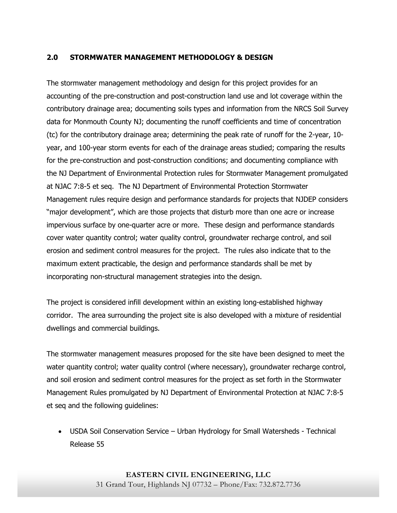## **2.0 STORMWATER MANAGEMENT METHODOLOGY & DESIGN**

The stormwater management methodology and design for this project provides for an accounting of the pre-construction and post-construction land use and lot coverage within the contributory drainage area; documenting soils types and information from the NRCS Soil Survey data for Monmouth County NJ; documenting the runoff coefficients and time of concentration (tc) for the contributory drainage area; determining the peak rate of runoff for the 2-year, 10 year, and 100-year storm events for each of the drainage areas studied; comparing the results for the pre-construction and post-construction conditions; and documenting compliance with the NJ Department of Environmental Protection rules for Stormwater Management promulgated at NJAC 7:8-5 et seq. The NJ Department of Environmental Protection Stormwater Management rules require design and performance standards for projects that NJDEP considers "major development", which are those projects that disturb more than one acre or increase impervious surface by one-quarter acre or more. These design and performance standards cover water quantity control; water quality control, groundwater recharge control, and soil erosion and sediment control measures for the project. The rules also indicate that to the maximum extent practicable, the design and performance standards shall be met by incorporating non-structural management strategies into the design.

The project is considered infill development within an existing long-established highway corridor. The area surrounding the project site is also developed with a mixture of residential dwellings and commercial buildings.

The stormwater management measures proposed for the site have been designed to meet the water quantity control; water quality control (where necessary), groundwater recharge control, and soil erosion and sediment control measures for the project as set forth in the Stormwater Management Rules promulgated by NJ Department of Environmental Protection at NJAC 7:8-5 et seq and the following guidelines:

 USDA Soil Conservation Service – Urban Hydrology for Small Watersheds - Technical Release 55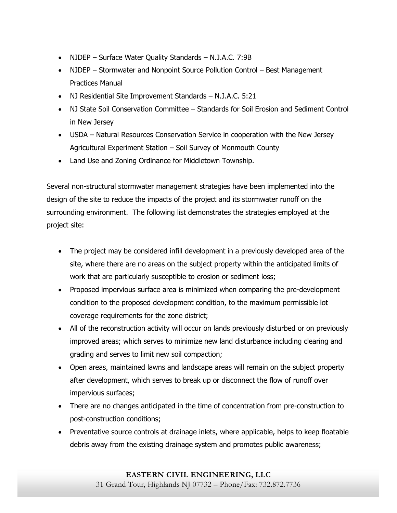- NJDEP Surface Water Quality Standards N.J.A.C. 7:9B
- NJDEP Stormwater and Nonpoint Source Pollution Control Best Management Practices Manual
- NJ Residential Site Improvement Standards N.J.A.C. 5:21
- NJ State Soil Conservation Committee Standards for Soil Erosion and Sediment Control in New Jersey
- USDA Natural Resources Conservation Service in cooperation with the New Jersey Agricultural Experiment Station – Soil Survey of Monmouth County
- Land Use and Zoning Ordinance for Middletown Township.

Several non-structural stormwater management strategies have been implemented into the design of the site to reduce the impacts of the project and its stormwater runoff on the surrounding environment. The following list demonstrates the strategies employed at the project site:

- The project may be considered infill development in a previously developed area of the site, where there are no areas on the subject property within the anticipated limits of work that are particularly susceptible to erosion or sediment loss;
- Proposed impervious surface area is minimized when comparing the pre-development condition to the proposed development condition, to the maximum permissible lot coverage requirements for the zone district;
- All of the reconstruction activity will occur on lands previously disturbed or on previously improved areas; which serves to minimize new land disturbance including clearing and grading and serves to limit new soil compaction;
- Open areas, maintained lawns and landscape areas will remain on the subject property after development, which serves to break up or disconnect the flow of runoff over impervious surfaces;
- There are no changes anticipated in the time of concentration from pre-construction to post-construction conditions;
- Preventative source controls at drainage inlets, where applicable, helps to keep floatable debris away from the existing drainage system and promotes public awareness;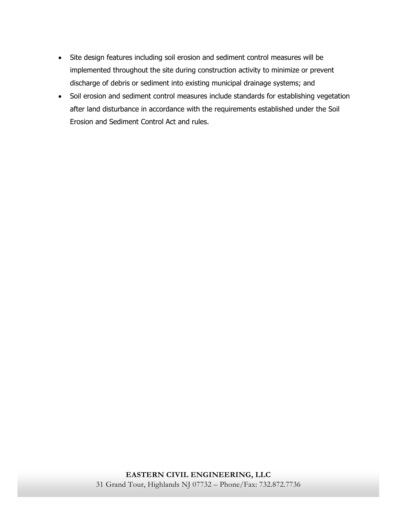- Site design features including soil erosion and sediment control measures will be implemented throughout the site during construction activity to minimize or prevent discharge of debris or sediment into existing municipal drainage systems; and
- Soil erosion and sediment control measures include standards for establishing vegetation after land disturbance in accordance with the requirements established under the Soil Erosion and Sediment Control Act and rules.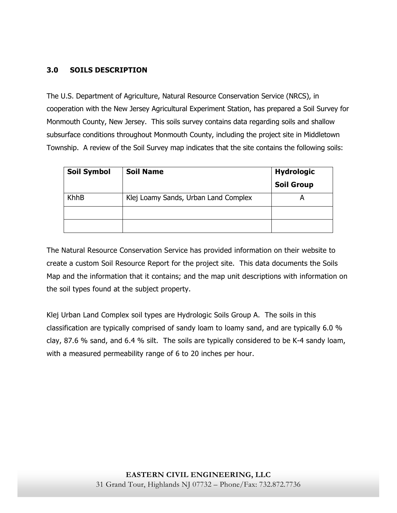# **3.0 SOILS DESCRIPTION**

The U.S. Department of Agriculture, Natural Resource Conservation Service (NRCS), in cooperation with the New Jersey Agricultural Experiment Station, has prepared a Soil Survey for Monmouth County, New Jersey. This soils survey contains data regarding soils and shallow subsurface conditions throughout Monmouth County, including the project site in Middletown Township. A review of the Soil Survey map indicates that the site contains the following soils:

| <b>Soil Symbol</b> | <b>Soil Name</b>                     | <b>Hydrologic</b> |
|--------------------|--------------------------------------|-------------------|
|                    |                                      | <b>Soil Group</b> |
| KhhB               | Klej Loamy Sands, Urban Land Complex |                   |
|                    |                                      |                   |
|                    |                                      |                   |

The Natural Resource Conservation Service has provided information on their website to create a custom Soil Resource Report for the project site. This data documents the Soils Map and the information that it contains; and the map unit descriptions with information on the soil types found at the subject property.

Klej Urban Land Complex soil types are Hydrologic Soils Group A. The soils in this classification are typically comprised of sandy loam to loamy sand, and are typically 6.0 % clay, 87.6 % sand, and 6.4 % silt. The soils are typically considered to be K-4 sandy loam, with a measured permeability range of 6 to 20 inches per hour.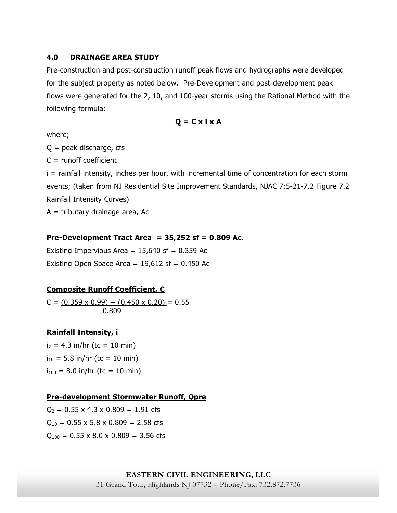## **4.0 DRAINAGE AREA STUDY**

Pre-construction and post-construction runoff peak flows and hydrographs were developed for the subject property as noted below. Pre-Development and post-development peak flows were generated for the 2, 10, and 100-year storms using the Rational Method with the following formula:

$$
Q = C \times i \times A
$$

where;

 $Q =$  peak discharge, cfs

 $C =$  runoff coefficient

i = rainfall intensity, inches per hour, with incremental time of concentration for each storm events; (taken from NJ Residential Site Improvement Standards, NJAC 7:5-21-7.2 Figure 7.2 Rainfall Intensity Curves)

 $A =$  tributary drainage area, Ac

# **Pre-Development Tract Area = 35,252 sf = 0.809 Ac.**

Existing Impervious Area =  $15,640$  sf = 0.359 Ac Existing Open Space Area =  $19,612$  sf = 0.450 Ac

# **Composite Runoff Coefficient, C**

 $C = (0.359 \times 0.99) + (0.450 \times 0.20) = 0.55$ 0.809

# **Rainfall Intensity, i**

 $i_2 = 4.3$  in/hr (tc = 10 min)  $i_{10} = 5.8$  in/hr (tc = 10 min)  $i_{100}$  = 8.0 in/hr (tc = 10 min)

# **Pre-development Stormwater Runoff, Qpre**

 $Q_2 = 0.55 \times 4.3 \times 0.809 = 1.91$  cfs  $Q_{10} = 0.55 \times 5.8 \times 0.809 = 2.58 \text{ cfs}$  $Q_{100} = 0.55 \times 8.0 \times 0.809 = 3.56$  cfs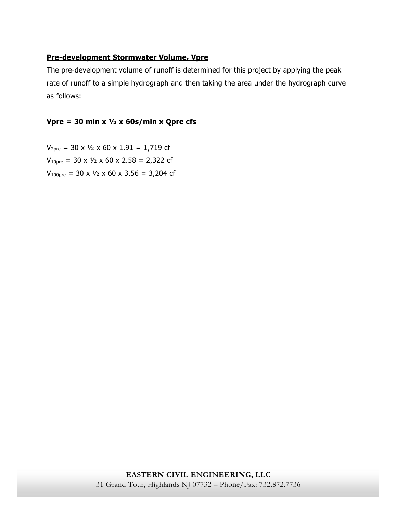# **Pre-development Stormwater Volume, Vpre**

The pre-development volume of runoff is determined for this project by applying the peak rate of runoff to a simple hydrograph and then taking the area under the hydrograph curve as follows:

# **Vpre = 30 min x ½ x 60s/min x Qpre cfs**

 $V_{2pre}$  = 30 x  $V_2$  x 60 x 1.91 = 1,719 cf  $V_{10pre}$  = 30 x  $\frac{1}{2}$  x 60 x 2.58 = 2,322 cf  $V_{100pre}$  = 30 x  $\frac{1}{2}$  x 60 x 3.56 = 3,204 cf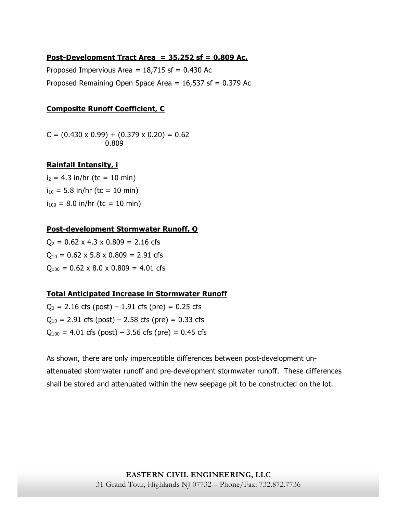## **Post-Development Tract Area = 35,252 sf = 0.809 Ac.**

Proposed Impervious Area =  $18,715$  sf = 0.430 Ac Proposed Remaining Open Space Area =  $16,537$  sf = 0.379 Ac

#### **Composite Runoff Coefficient, C**

 $C = (0.430 \times 0.99) + (0.379 \times 0.20) = 0.62$ 0.809

### **Rainfall Intensity, i**

 $i_2$  = 4.3 in/hr (tc = 10 min)  $i_{10}$  = 5.8 in/hr (tc = 10 min)  $i_{100}$  = 8.0 in/hr (tc = 10 min)

#### **Post-development Stormwater Runoff, Q**

 $Q_2 = 0.62 \times 4.3 \times 0.809 = 2.16 \text{ cfs}$  $Q_{10} = 0.62 \times 5.8 \times 0.809 = 2.91 \text{ cfs}$  $Q_{100} = 0.62 \times 8.0 \times 0.809 = 4.01$  cfs

## **Total Anticipated Increase in Stormwater Runoff**

 $Q_2 = 2.16$  cfs (post) – 1.91 cfs (pre) = 0.25 cfs  $Q_{10} = 2.91$  cfs (post) – 2.58 cfs (pre) = 0.33 cfs  $Q_{100} = 4.01$  cfs (post) – 3.56 cfs (pre) = 0.45 cfs

As shown, there are only imperceptible differences between post-development unattenuated stormwater runoff and pre-development stormwater runoff. These differences shall be stored and attenuated within the new seepage pit to be constructed on the lot.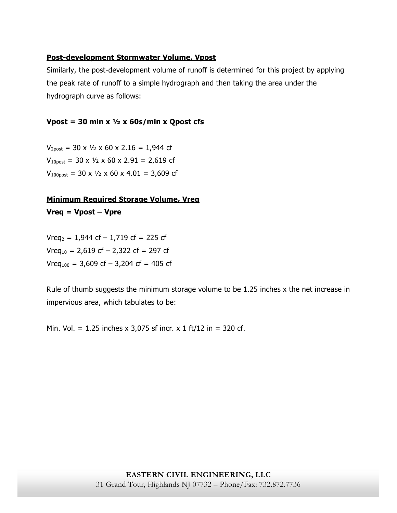# **Post-development Stormwater Volume, Vpost**

Similarly, the post-development volume of runoff is determined for this project by applying the peak rate of runoff to a simple hydrograph and then taking the area under the hydrograph curve as follows:

# **Vpost = 30 min x ½ x 60s/min x Qpost cfs**

 $V_{2post}$  = 30 x  $\frac{1}{2}$  x 60 x 2.16 = 1,944 cf  $V_{10\text{post}}$  = 30 x  $\frac{1}{2}$  x 60 x 2.91 = 2,619 cf  $V_{100\text{post}}$  = 30 x  $\frac{1}{2}$  x 60 x 4.01 = 3,609 cf

# **Minimum Required Storage Volume, Vreq Vreq = Vpost – Vpre**

 $Vreq<sub>2</sub> = 1,944 cf - 1,719 cf = 225 cf$  $Vreq<sub>10</sub> = 2,619 cf - 2,322 cf = 297 cf$  $Vreq<sub>100</sub> = 3,609 cf - 3,204 cf = 405 cf$ 

Rule of thumb suggests the minimum storage volume to be 1.25 inches x the net increase in impervious area, which tabulates to be:

Min. Vol. = 1.25 inches x 3,075 sf incr. x 1 ft/12 in = 320 cf.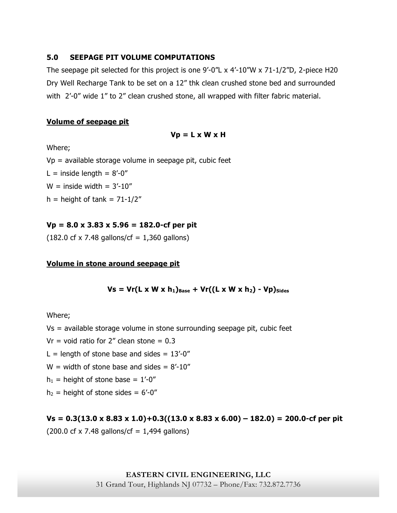## **5.0 SEEPAGE PIT VOLUME COMPUTATIONS**

The seepage pit selected for this project is one  $9'$ -0"L x  $4'$ -10"W x  $71$ -1/2"D, 2-piece H20 Dry Well Recharge Tank to be set on a 12" thk clean crushed stone bed and surrounded with 2'-0" wide 1" to 2" clean crushed stone, all wrapped with filter fabric material.

#### **Volume of seepage pit**

#### **Vp = L x W x H**

Where;

 $Vp =$  available storage volume in seepage pit, cubic feet

L = inside length =  $8'-0''$ 

 $W =$  inside width =  $3'$ -10"

 $h =$  height of tank = 71-1/2"

## **Vp = 8.0 x 3.83 x 5.96 = 182.0-cf per pit**

 $(182.0 \text{ cf } x 7.48 \text{ gallons/cf} = 1,360 \text{ gallons})$ 

### **Volume in stone around seepage pit**

## $Vs = Vr(L \times W \times h_1)_{Base} + Vr((L \times W \times h_2) - Vp)_{Sides}$

Where;

Vs = available storage volume in stone surrounding seepage pit, cubic feet

 $Vr =$  void ratio for 2" clean stone = 0.3

L = length of stone base and sides =  $13'-0''$ 

 $W =$  width of stone base and sides  $= 8' - 10''$ 

 $h_1$  = height of stone base = 1'-0"

 $h_2$  = height of stone sides = 6'-0"

**Vs = 0.3(13.0 x 8.83 x 1.0)+0.3((13.0 x 8.83 x 6.00) – 182.0) = 200.0-cf per pit**   $(200.0 \text{ cf } x 7.48 \text{ gallons/cf} = 1,494 \text{ gallons})$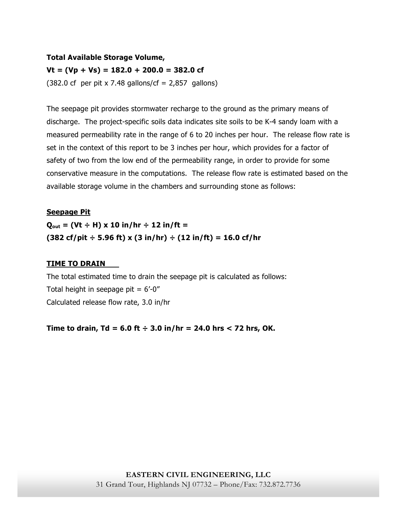# **Total Available Storage Volume, Vt = (Vp + Vs) = 182.0 + 200.0 = 382.0 cf**   $(382.0 \text{ cf }$  per pit x 7.48 gallons/cf = 2,857 gallons)

The seepage pit provides stormwater recharge to the ground as the primary means of discharge. The project-specific soils data indicates site soils to be K-4 sandy loam with a measured permeability rate in the range of 6 to 20 inches per hour. The release flow rate is set in the context of this report to be 3 inches per hour, which provides for a factor of safety of two from the low end of the permeability range, in order to provide for some conservative measure in the computations. The release flow rate is estimated based on the available storage volume in the chambers and surrounding stone as follows:

## **Seepage Pit**

 $Q_{\text{out}} = (Vt + H) \times 10 \text{ in/hr} + 12 \text{ in/ft} =$ **(382 cf/pit ÷ 5.96 ft) x (3 in/hr) ÷ (12 in/ft) = 16.0 cf/hr**

# **TIME TO DRAIN**

The total estimated time to drain the seepage pit is calculated as follows: Total height in seepage pit =  $6'$ -0" Calculated release flow rate, 3.0 in/hr

**Time to drain, Td = 6.0 ft ÷ 3.0 in/hr = 24.0 hrs < 72 hrs, OK.**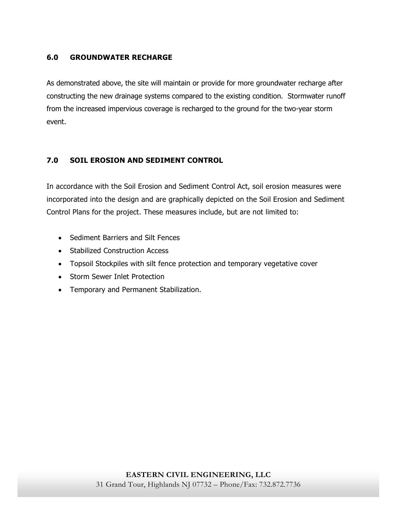# **6.0 GROUNDWATER RECHARGE**

As demonstrated above, the site will maintain or provide for more groundwater recharge after constructing the new drainage systems compared to the existing condition. Stormwater runoff from the increased impervious coverage is recharged to the ground for the two-year storm event.

# **7.0 SOIL EROSION AND SEDIMENT CONTROL**

In accordance with the Soil Erosion and Sediment Control Act, soil erosion measures were incorporated into the design and are graphically depicted on the Soil Erosion and Sediment Control Plans for the project. These measures include, but are not limited to:

- Sediment Barriers and Silt Fences
- Stabilized Construction Access
- Topsoil Stockpiles with silt fence protection and temporary vegetative cover
- Storm Sewer Inlet Protection
- Temporary and Permanent Stabilization.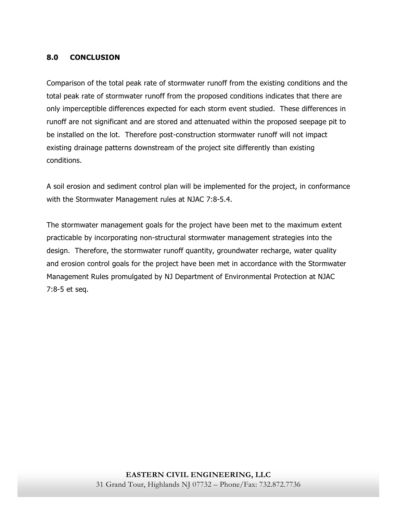# **8.0 CONCLUSION**

Comparison of the total peak rate of stormwater runoff from the existing conditions and the total peak rate of stormwater runoff from the proposed conditions indicates that there are only imperceptible differences expected for each storm event studied. These differences in runoff are not significant and are stored and attenuated within the proposed seepage pit to be installed on the lot. Therefore post-construction stormwater runoff will not impact existing drainage patterns downstream of the project site differently than existing conditions.

A soil erosion and sediment control plan will be implemented for the project, in conformance with the Stormwater Management rules at NJAC 7:8-5.4.

The stormwater management goals for the project have been met to the maximum extent practicable by incorporating non-structural stormwater management strategies into the design. Therefore, the stormwater runoff quantity, groundwater recharge, water quality and erosion control goals for the project have been met in accordance with the Stormwater Management Rules promulgated by NJ Department of Environmental Protection at NJAC 7:8-5 et seq.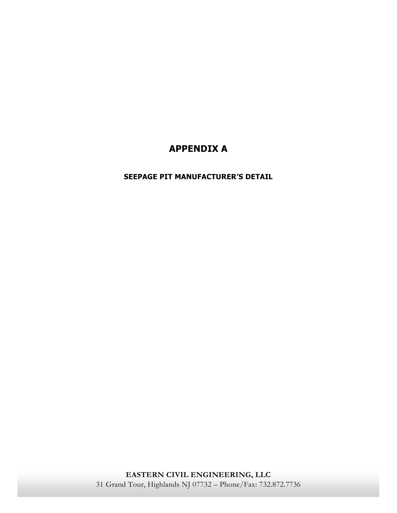# **APPENDIX A**

# **SEEPAGE PIT MANUFACTURER'S DETAIL**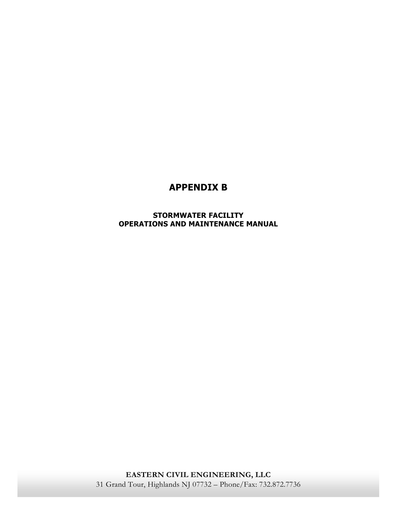# **APPENDIX B**

**STORMWATER FACILITY OPERATIONS AND MAINTENANCE MANUAL** 

**EASTERN CIVIL ENGINEERING, LLC**  31 Grand Tour, Highlands NJ 07732 – Phone/Fax: 732.872.7736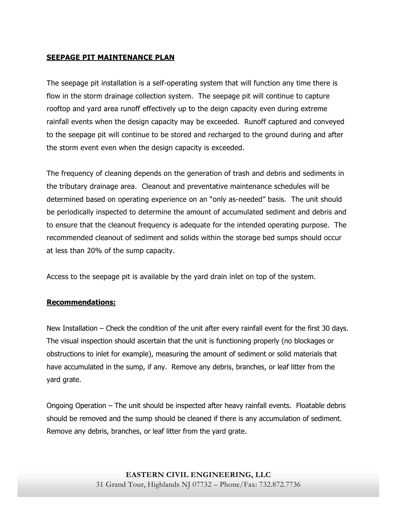# **SEEPAGE PIT MAINTENANCE PLAN**

The seepage pit installation is a self-operating system that will function any time there is flow in the storm drainage collection system. The seepage pit will continue to capture rooftop and yard area runoff effectively up to the deign capacity even during extreme rainfall events when the design capacity may be exceeded. Runoff captured and conveyed to the seepage pit will continue to be stored and recharged to the ground during and after the storm event even when the design capacity is exceeded.

The frequency of cleaning depends on the generation of trash and debris and sediments in the tributary drainage area. Cleanout and preventative maintenance schedules will be determined based on operating experience on an "only as-needed" basis. The unit should be periodically inspected to determine the amount of accumulated sediment and debris and to ensure that the cleanout frequency is adequate for the intended operating purpose. The recommended cleanout of sediment and solids within the storage bed sumps should occur at less than 20% of the sump capacity.

Access to the seepage pit is available by the yard drain inlet on top of the system.

# **Recommendations:**

New Installation – Check the condition of the unit after every rainfall event for the first 30 days. The visual inspection should ascertain that the unit is functioning properly (no blockages or obstructions to inlet for example), measuring the amount of sediment or solid materials that have accumulated in the sump, if any. Remove any debris, branches, or leaf litter from the yard grate.

Ongoing Operation – The unit should be inspected after heavy rainfall events. Floatable debris should be removed and the sump should be cleaned if there is any accumulation of sediment. Remove any debris, branches, or leaf litter from the yard grate.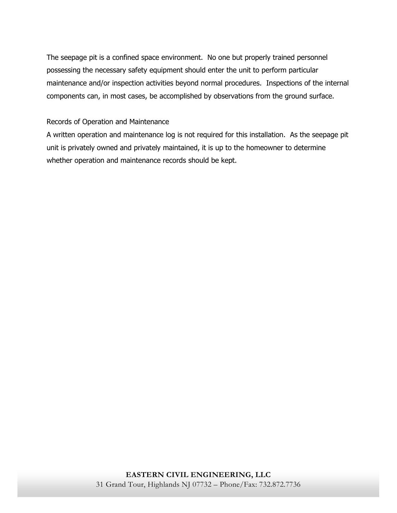The seepage pit is a confined space environment. No one but properly trained personnel possessing the necessary safety equipment should enter the unit to perform particular maintenance and/or inspection activities beyond normal procedures. Inspections of the internal components can, in most cases, be accomplished by observations from the ground surface.

## Records of Operation and Maintenance

A written operation and maintenance log is not required for this installation. As the seepage pit unit is privately owned and privately maintained, it is up to the homeowner to determine whether operation and maintenance records should be kept.